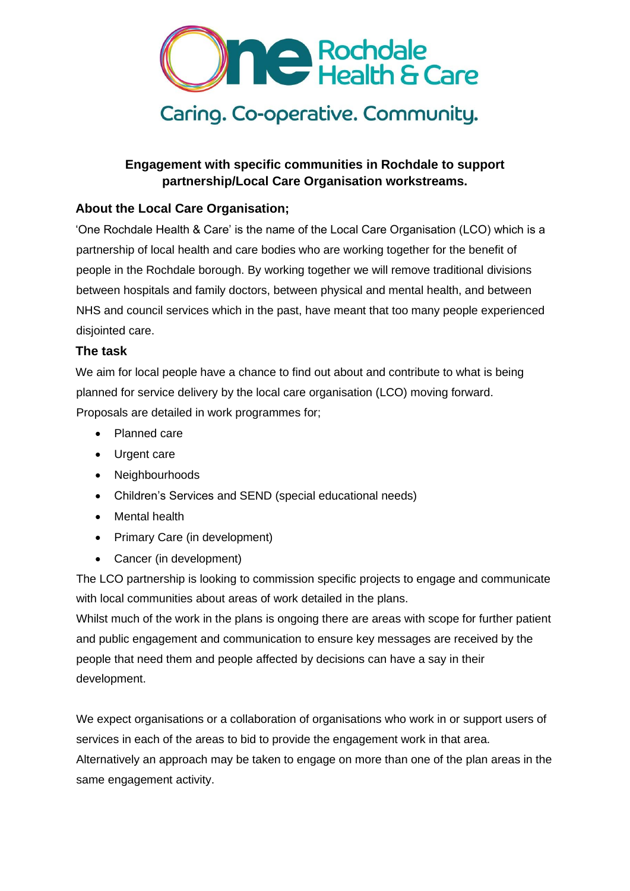

# **Engagement with specific communities in Rochdale to support partnership/Local Care Organisation workstreams.**

# **About the Local Care Organisation;**

'One Rochdale Health & Care' is the name of the Local Care Organisation (LCO) which is a partnership of local health and care bodies who are working together for the benefit of people in the Rochdale borough. By working together we will remove traditional divisions between hospitals and family doctors, between physical and mental health, and between NHS and council services which in the past, have meant that too many people experienced disiointed care.

# **The task**

We aim for local people have a chance to find out about and contribute to what is being planned for service delivery by the local care organisation (LCO) moving forward. Proposals are detailed in work programmes for;

- Planned care
- Urgent care
- Neighbourhoods
- Children's Services and SEND (special educational needs)
- Mental health
- Primary Care (in development)
- Cancer (in development)

The LCO partnership is looking to commission specific projects to engage and communicate with local communities about areas of work detailed in the plans.

Whilst much of the work in the plans is ongoing there are areas with scope for further patient and public engagement and communication to ensure key messages are received by the people that need them and people affected by decisions can have a say in their development.

We expect organisations or a collaboration of organisations who work in or support users of services in each of the areas to bid to provide the engagement work in that area. Alternatively an approach may be taken to engage on more than one of the plan areas in the same engagement activity.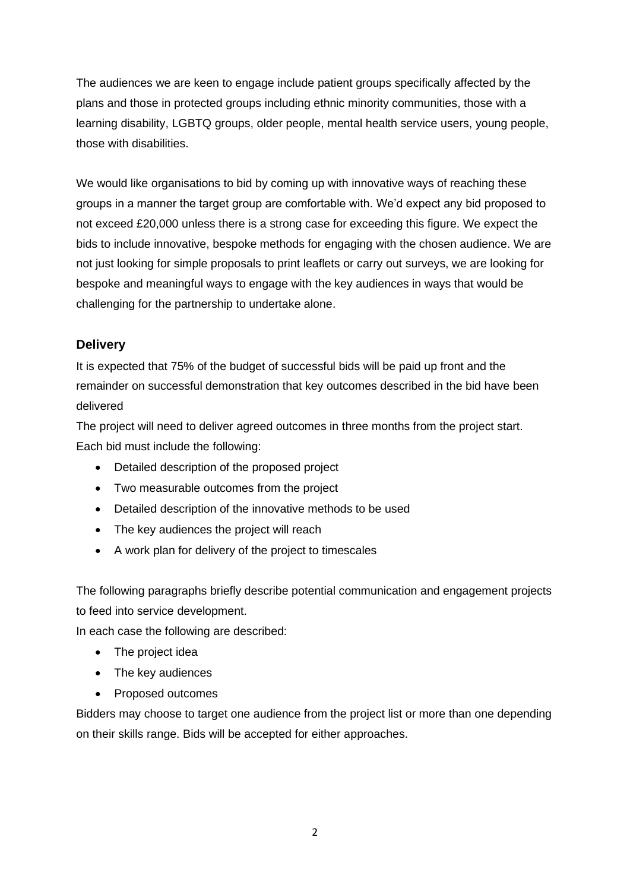The audiences we are keen to engage include patient groups specifically affected by the plans and those in protected groups including ethnic minority communities, those with a learning disability, LGBTQ groups, older people, mental health service users, young people, those with disabilities.

We would like organisations to bid by coming up with innovative ways of reaching these groups in a manner the target group are comfortable with. We'd expect any bid proposed to not exceed £20,000 unless there is a strong case for exceeding this figure. We expect the bids to include innovative, bespoke methods for engaging with the chosen audience. We are not just looking for simple proposals to print leaflets or carry out surveys, we are looking for bespoke and meaningful ways to engage with the key audiences in ways that would be challenging for the partnership to undertake alone.

# **Delivery**

It is expected that 75% of the budget of successful bids will be paid up front and the remainder on successful demonstration that key outcomes described in the bid have been delivered

The project will need to deliver agreed outcomes in three months from the project start. Each bid must include the following:

- Detailed description of the proposed project
- Two measurable outcomes from the project
- Detailed description of the innovative methods to be used
- The key audiences the project will reach
- A work plan for delivery of the project to timescales

The following paragraphs briefly describe potential communication and engagement projects to feed into service development.

In each case the following are described:

- The project idea
- The key audiences
- Proposed outcomes

Bidders may choose to target one audience from the project list or more than one depending on their skills range. Bids will be accepted for either approaches.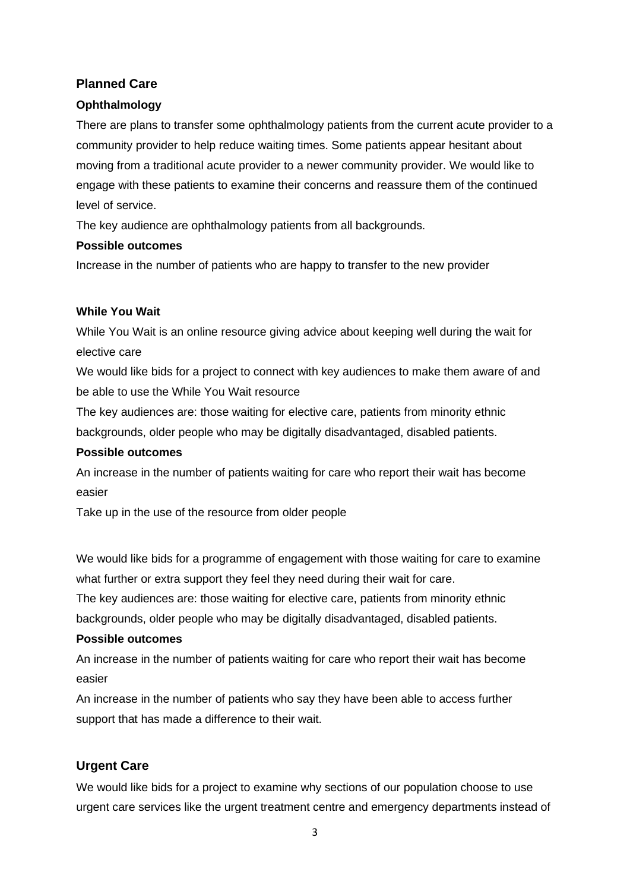# **Planned Care**

# **Ophthalmology**

There are plans to transfer some ophthalmology patients from the current acute provider to a community provider to help reduce waiting times. Some patients appear hesitant about moving from a traditional acute provider to a newer community provider. We would like to engage with these patients to examine their concerns and reassure them of the continued level of service.

The key audience are ophthalmology patients from all backgrounds.

#### **Possible outcomes**

Increase in the number of patients who are happy to transfer to the new provider

#### **While You Wait**

While You Wait is an online resource giving advice about keeping well during the wait for elective care

We would like bids for a project to connect with key audiences to make them aware of and be able to use the While You Wait resource

The key audiences are: those waiting for elective care, patients from minority ethnic backgrounds, older people who may be digitally disadvantaged, disabled patients.

#### **Possible outcomes**

An increase in the number of patients waiting for care who report their wait has become easier

Take up in the use of the resource from older people

We would like bids for a programme of engagement with those waiting for care to examine what further or extra support they feel they need during their wait for care.

The key audiences are: those waiting for elective care, patients from minority ethnic backgrounds, older people who may be digitally disadvantaged, disabled patients.

# **Possible outcomes**

An increase in the number of patients waiting for care who report their wait has become easier

An increase in the number of patients who say they have been able to access further support that has made a difference to their wait.

# **Urgent Care**

We would like bids for a project to examine why sections of our population choose to use urgent care services like the urgent treatment centre and emergency departments instead of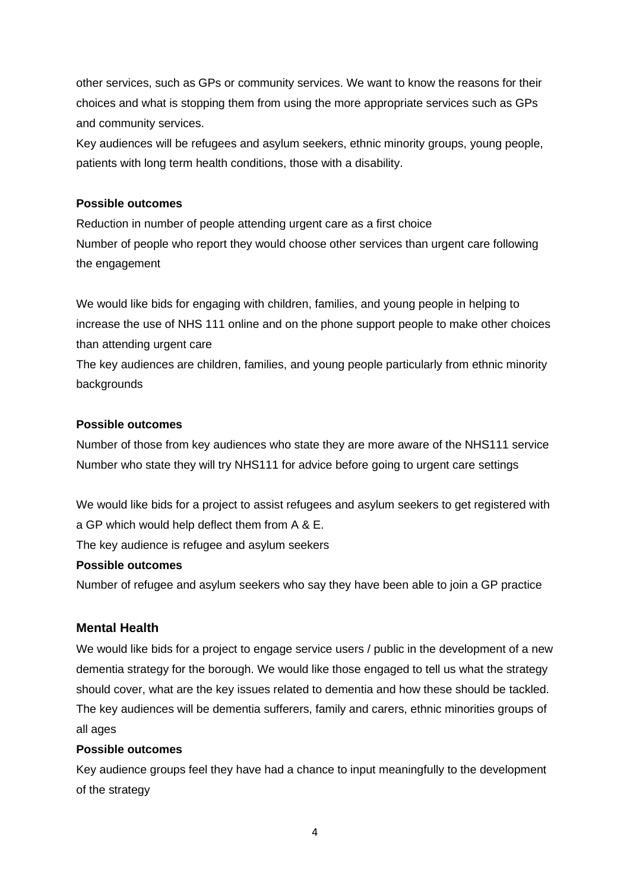other services, such as GPs or community services. We want to know the reasons for their choices and what is stopping them from using the more appropriate services such as GPs and community services.

Key audiences will be refugees and asylum seekers, ethnic minority groups, young people, patients with long term health conditions, those with a disability.

#### **Possible outcomes**

Reduction in number of people attending urgent care as a first choice Number of people who report they would choose other services than urgent care following the engagement

We would like bids for engaging with children, families, and young people in helping to increase the use of NHS 111 online and on the phone support people to make other choices than attending urgent care

The key audiences are children, families, and young people particularly from ethnic minority backgrounds

#### **Possible outcomes**

Number of those from key audiences who state they are more aware of the NHS111 service Number who state they will try NHS111 for advice before going to urgent care settings

We would like bids for a project to assist refugees and asylum seekers to get registered with a GP which would help deflect them from A & E.

The key audience is refugee and asylum seekers

#### **Possible outcomes**

Number of refugee and asylum seekers who say they have been able to join a GP practice

# **Mental Health**

We would like bids for a project to engage service users / public in the development of a new dementia strategy for the borough. We would like those engaged to tell us what the strategy should cover, what are the key issues related to dementia and how these should be tackled. The key audiences will be dementia sufferers, family and carers, ethnic minorities groups of all ages

# **Possible outcomes**

Key audience groups feel they have had a chance to input meaningfully to the development of the strategy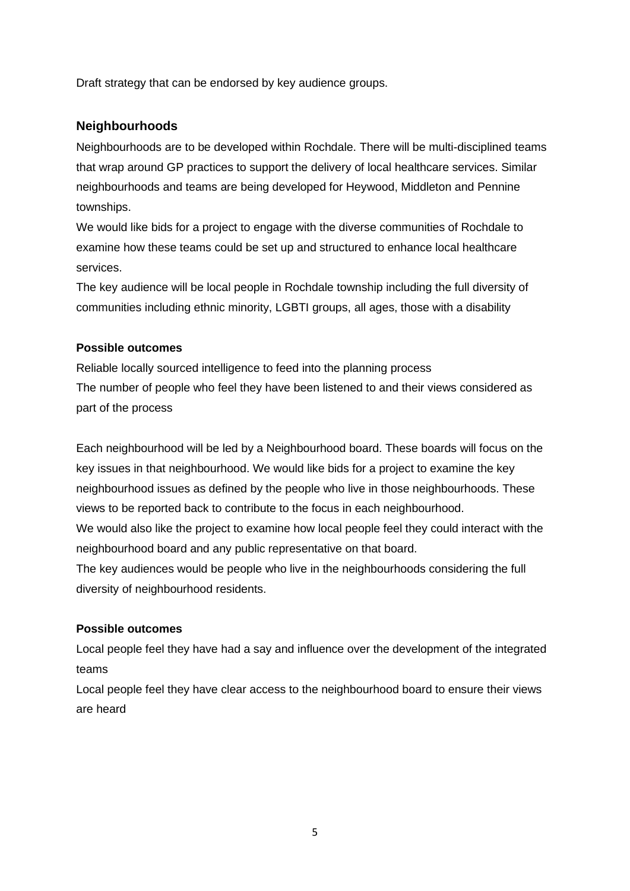Draft strategy that can be endorsed by key audience groups.

# **Neighbourhoods**

Neighbourhoods are to be developed within Rochdale. There will be multi-disciplined teams that wrap around GP practices to support the delivery of local healthcare services. Similar neighbourhoods and teams are being developed for Heywood, Middleton and Pennine townships.

We would like bids for a project to engage with the diverse communities of Rochdale to examine how these teams could be set up and structured to enhance local healthcare services.

The key audience will be local people in Rochdale township including the full diversity of communities including ethnic minority, LGBTI groups, all ages, those with a disability

# **Possible outcomes**

Reliable locally sourced intelligence to feed into the planning process The number of people who feel they have been listened to and their views considered as part of the process

Each neighbourhood will be led by a Neighbourhood board. These boards will focus on the key issues in that neighbourhood. We would like bids for a project to examine the key neighbourhood issues as defined by the people who live in those neighbourhoods. These views to be reported back to contribute to the focus in each neighbourhood.

We would also like the project to examine how local people feel they could interact with the neighbourhood board and any public representative on that board.

The key audiences would be people who live in the neighbourhoods considering the full diversity of neighbourhood residents.

# **Possible outcomes**

Local people feel they have had a say and influence over the development of the integrated teams

Local people feel they have clear access to the neighbourhood board to ensure their views are heard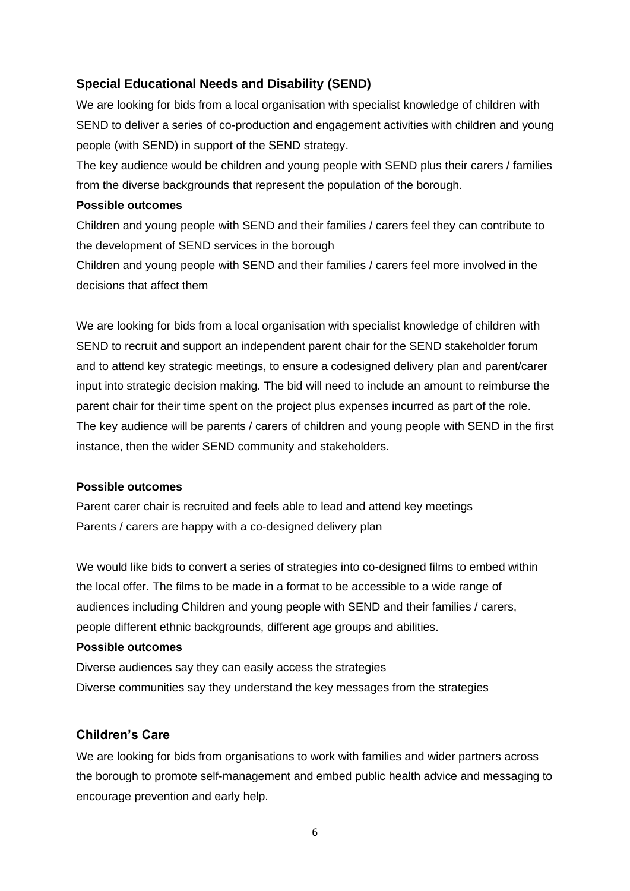# **Special Educational Needs and Disability (SEND)**

We are looking for bids from a local organisation with specialist knowledge of children with SEND to deliver a series of co-production and engagement activities with children and young people (with SEND) in support of the SEND strategy.

The key audience would be children and young people with SEND plus their carers / families from the diverse backgrounds that represent the population of the borough.

#### **Possible outcomes**

Children and young people with SEND and their families / carers feel they can contribute to the development of SEND services in the borough

Children and young people with SEND and their families / carers feel more involved in the decisions that affect them

We are looking for bids from a local organisation with specialist knowledge of children with SEND to recruit and support an independent parent chair for the SEND stakeholder forum and to attend key strategic meetings, to ensure a codesigned delivery plan and parent/carer input into strategic decision making. The bid will need to include an amount to reimburse the parent chair for their time spent on the project plus expenses incurred as part of the role. The key audience will be parents / carers of children and young people with SEND in the first instance, then the wider SEND community and stakeholders.

#### **Possible outcomes**

Parent carer chair is recruited and feels able to lead and attend key meetings Parents / carers are happy with a co-designed delivery plan

We would like bids to convert a series of strategies into co-designed films to embed within the local offer. The films to be made in a format to be accessible to a wide range of audiences including Children and young people with SEND and their families / carers, people different ethnic backgrounds, different age groups and abilities.

#### **Possible outcomes**

Diverse audiences say they can easily access the strategies Diverse communities say they understand the key messages from the strategies

#### **Children's Care**

We are looking for bids from organisations to work with families and wider partners across the borough to promote self-management and embed public health advice and messaging to encourage prevention and early help.